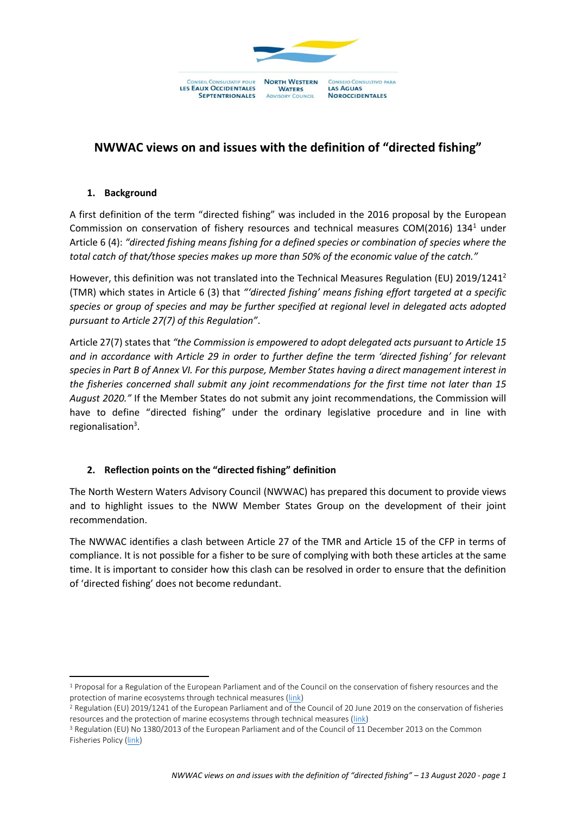

# **NWWAC views on and issues with the definition of "directed fishing"**

### **1. Background**

**.** 

A first definition of the term "directed fishing" was included in the 2016 proposal by the European Commission on conservation of fishery resources and technical measures COM(2016) 134<sup>1</sup> under Article 6 (4): *"directed fishing means fishing for a defined species or combination of species where the total catch of that/those species makes up more than 50% of the economic value of the catch."*

However, this definition was not translated into the Technical Measures Regulation (EU) 2019/1241<sup>2</sup> (TMR) which states in Article 6 (3) that *"'directed fishing' means fishing effort targeted at a specific species or group of species and may be further specified at regional level in delegated acts adopted pursuant to Article 27(7) of this Regulation"*.

Article 27(7) states that *"the Commission is empowered to adopt delegated acts pursuant to Article 15 and in accordance with Article 29 in order to further define the term 'directed fishing' for relevant species in Part B of Annex VI. For this purpose, Member States having a direct management interest in the fisheries concerned shall submit any joint recommendations for the first time not later than 15 August 2020."* If the Member States do not submit any joint recommendations, the Commission will have to define "directed fishing" under the ordinary legislative procedure and in line with regionalisation<sup>3</sup>.

## **2. Reflection points on the "directed fishing" definition**

The North Western Waters Advisory Council (NWWAC) has prepared this document to provide views and to highlight issues to the NWW Member States Group on the development of their joint recommendation.

The NWWAC identifies a clash between Article 27 of the TMR and Article 15 of the CFP in terms of compliance. It is not possible for a fisher to be sure of complying with both these articles at the same time. It is important to consider how this clash can be resolved in order to ensure that the definition of 'directed fishing' does not become redundant.

<sup>&</sup>lt;sup>1</sup> Proposal for a Regulation of the European Parliament and of the Council on the conservation of fishery resources and the protection of marine ecosystems through technical measures [\(link\)](https://eur-lex.europa.eu/legal-content/EN/TXT/?uri=COM:2016:134:FIN)

<sup>2</sup> Regulation (EU) 2019/1241 of the European Parliament and of the Council of 20 June 2019 on the conservation of fisheries resources and the protection of marine ecosystems through technical measures [\(link\)](https://eur-lex.europa.eu/legal-content/EN/TXT/?uri=CELEX%3A32019R1241)

<sup>3</sup> Regulation (EU) No 1380/2013 of the European Parliament and of the Council of 11 December 2013 on the Common Fisheries Policy [\(link\)](https://eur-lex.europa.eu/legal-content/EN/TXT/?uri=celex:32013R1380)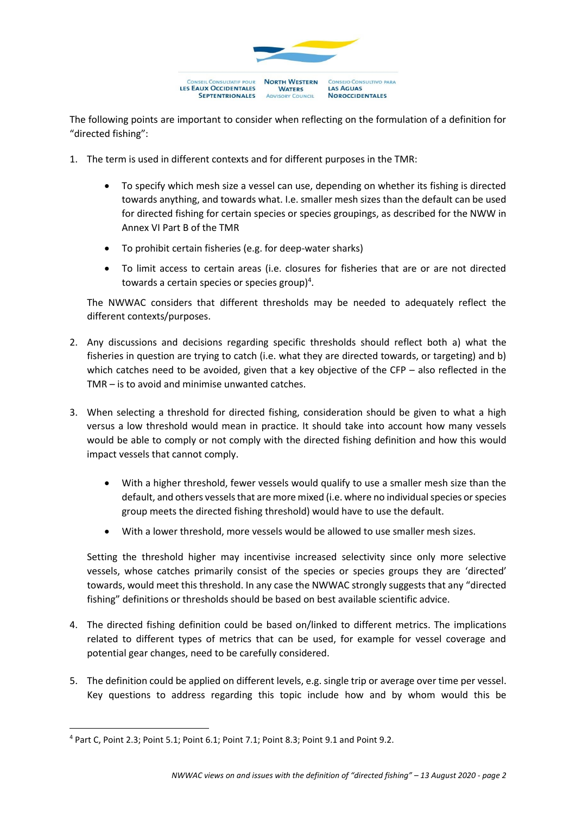

The following points are important to consider when reflecting on the formulation of a definition for "directed fishing":

- 1. The term is used in different contexts and for different purposes in the TMR:
	- To specify which mesh size a vessel can use, depending on whether its fishing is directed towards anything, and towards what. I.e. smaller mesh sizes than the default can be used for directed fishing for certain species or species groupings, as described for the NWW in Annex VI Part B of the TMR
	- To prohibit certain fisheries (e.g. for deep-water sharks)
	- To limit access to certain areas (i.e. closures for fisheries that are or are not directed towards a certain species or species group)<sup>4</sup>.

The NWWAC considers that different thresholds may be needed to adequately reflect the different contexts/purposes.

- 2. Any discussions and decisions regarding specific thresholds should reflect both a) what the fisheries in question are trying to catch (i.e. what they are directed towards, or targeting) and b) which catches need to be avoided, given that a key objective of the CFP – also reflected in the TMR – is to avoid and minimise unwanted catches.
- 3. When selecting a threshold for directed fishing, consideration should be given to what a high versus a low threshold would mean in practice. It should take into account how many vessels would be able to comply or not comply with the directed fishing definition and how this would impact vessels that cannot comply.
	- With a higher threshold, fewer vessels would qualify to use a smaller mesh size than the default, and others vessels that are more mixed (i.e. where no individual species or species group meets the directed fishing threshold) would have to use the default.
	- With a lower threshold, more vessels would be allowed to use smaller mesh sizes.

Setting the threshold higher may incentivise increased selectivity since only more selective vessels, whose catches primarily consist of the species or species groups they are 'directed' towards, would meet this threshold. In any case the NWWAC strongly suggests that any "directed fishing" definitions or thresholds should be based on best available scientific advice.

- 4. The directed fishing definition could be based on/linked to different metrics. The implications related to different types of metrics that can be used, for example for vessel coverage and potential gear changes, need to be carefully considered.
- 5. The definition could be applied on different levels, e.g. single trip or average over time per vessel. Key questions to address regarding this topic include how and by whom would this be

**.** 

<sup>4</sup> Part C, Point 2.3; Point 5.1; Point 6.1; Point 7.1; Point 8.3; Point 9.1 and Point 9.2.